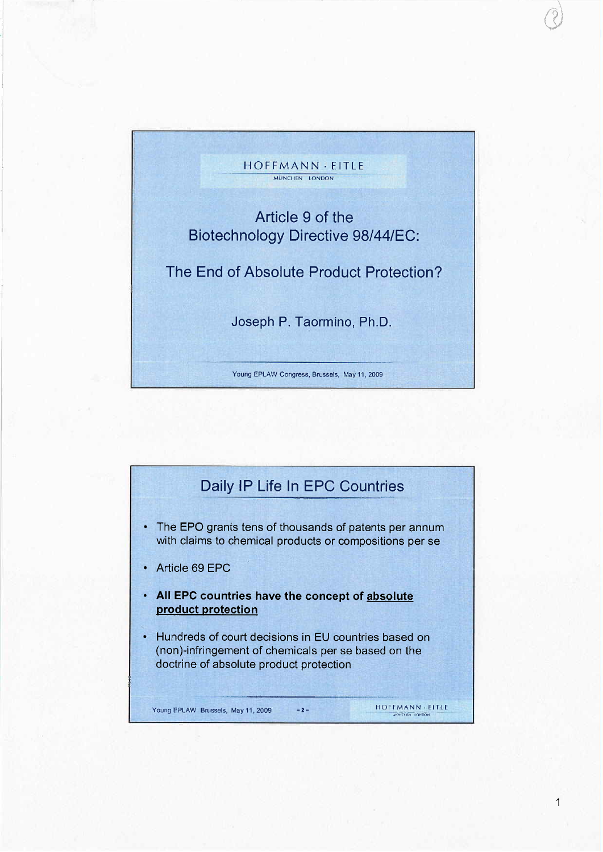

 $\bigcup$ 

1

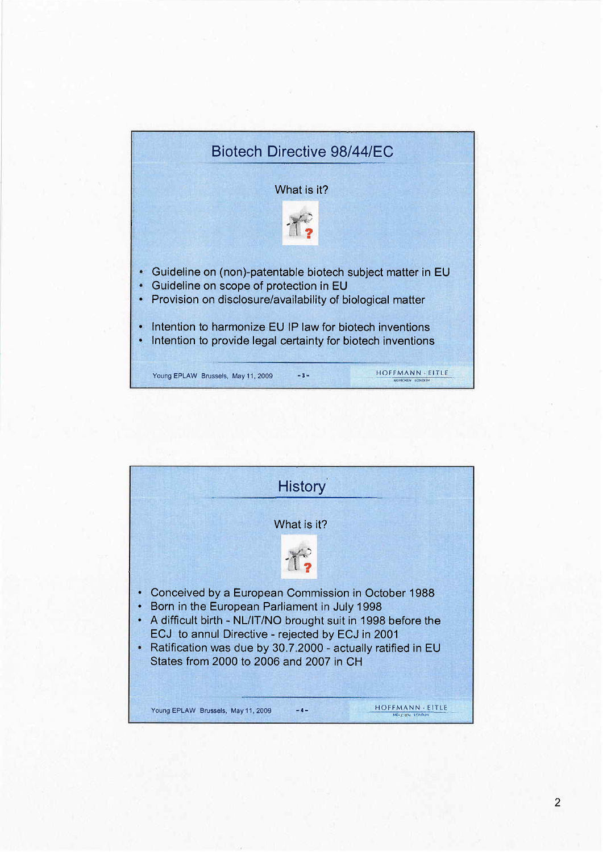

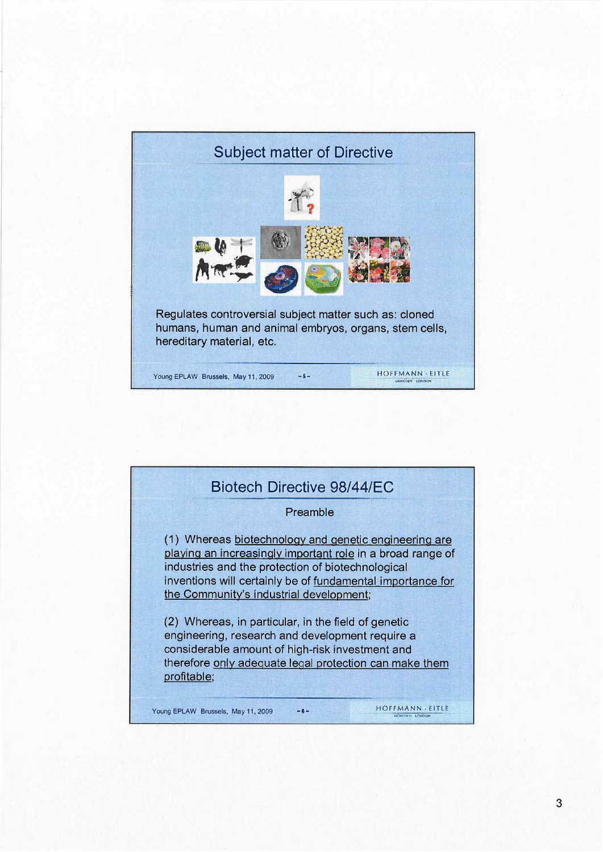

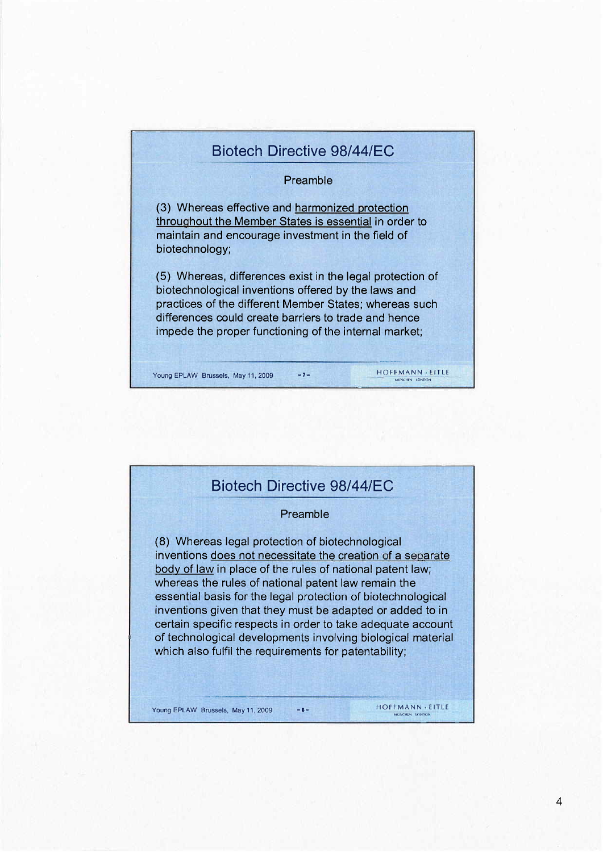## Biotech Directive 98/44/EC Preamble (3) Whereas effective and harmonized protection throughout the Member States is essential in order to maintain and encourage investment in the field of biotechnology; (5) Whereas, differences exist in the legal protection of biotechnological inventions offered by the laws and practices of the different Member States; whereas such differences could create barriers to trade and hence impede the proper functioning of the internal market; Young EPLAW Brussels, May 11, 2009 -7- HOFFMANN , EITLE MUNCHEN LONDON

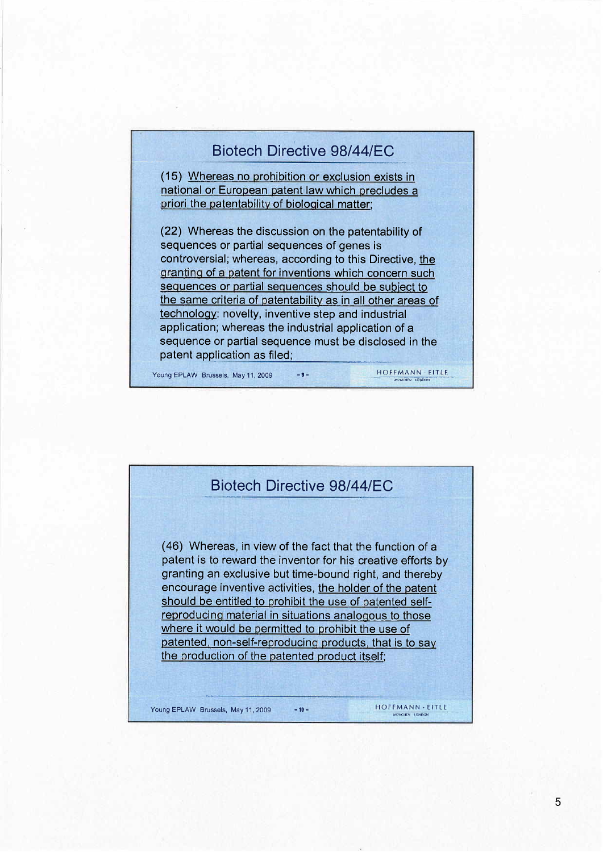## Biotech Directive 98/44/EC

(15) Whereas no prohibition or exclusion exists in national or European patent law which precludes a priori the patentability of biological matter;

(22) Whereas the discussion on the patentability of sequences or partial sequences of genes is controversial; whereas, according to this Directive, the granting of a patent for inventions which concern such sequences or partial sequences should be subject to the same criteria of patentability as in all other areas of technology: novelty, inventive step and industrial application; whereas the industrial application of a sequence or partial sequence must be disclosed in the patent application as filed;

Young EPLAW Brussels, May 11, 2009 -9- HOFFMANN EITLE

## Biotech Directive 98/44/FC (46) Whereas, in view of the fact that the function of a patent is to reward the inventor for his creative efforts by granting an exclusive but time-bound right, and thereby encourage inventive activities, the holder of the patent should be entitled to prohibit the use of patented selfreproducing material in situations analogous to those where it would be permitted to prohibit the use of patented, non-self-reproducing products, that is to say the production of the patented product itself;

Young EPLAW Brussels, May 11, 2009 -10- MOFFMANN - EITLE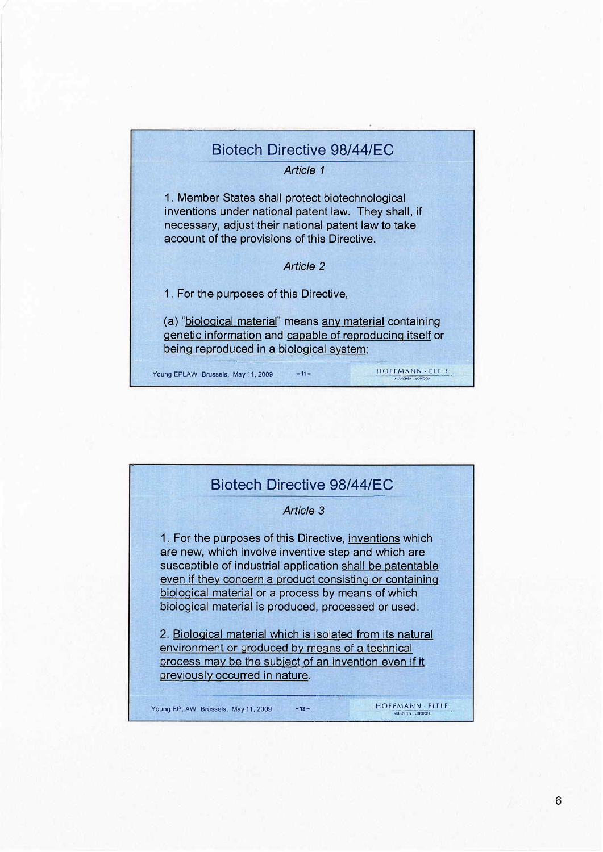## Biotech Directive 98/44/EC Article 1 1. Member States shall protect biotechnological inventions under national patent law. They shall, if necessary, adjust their national patent law to take account of the provisions of this Directive. Article 2 1. For the purposes of this Directive, (a) "biological material" means any material containing genetic information and capable of reproducing itself or being reproduced in a biological system; Young EPLAW Brussels, May 11, 2009 -11- HOFFMANN , EITLE

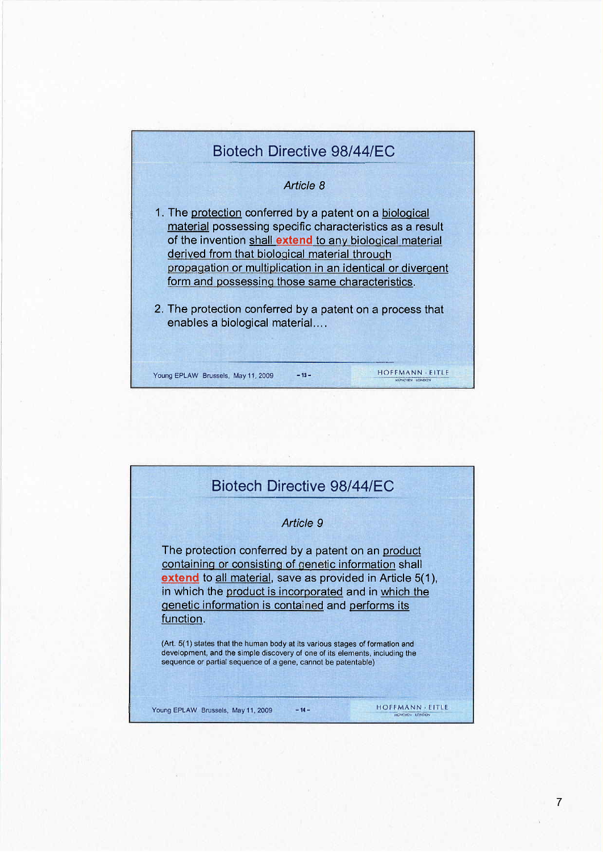